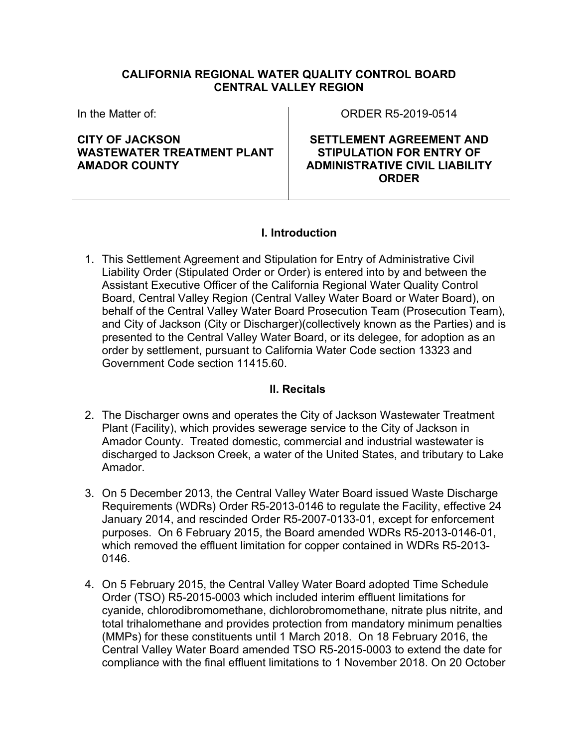### **CALIFORNIA REGIONAL WATER QUALITY CONTROL BOARD CENTRAL VALLEY REGION**

In the Matter of:

**CITY OF JACKSON WASTEWATER TREATMENT PLANT AMADOR COUNTY**

ORDER R5-2019-0514

**SETTLEMENT AGREEMENT AND STIPULATION FOR ENTRY OF ADMINISTRATIVE CIVIL LIABILITY ORDER**

# **I. Introduction**

1. This Settlement Agreement and Stipulation for Entry of Administrative Civil Liability Order (Stipulated Order or Order) is entered into by and between the Assistant Executive Officer of the California Regional Water Quality Control Board, Central Valley Region (Central Valley Water Board or Water Board), on behalf of the Central Valley Water Board Prosecution Team (Prosecution Team), and City of Jackson (City or Discharger)(collectively known as the Parties) and is presented to the Central Valley Water Board, or its delegee, for adoption as an order by settlement, pursuant to California Water Code section 13323 and Government Code section 11415.60.

### **II. Recitals**

- 2. The Discharger owns and operates the City of Jackson Wastewater Treatment Plant (Facility), which provides sewerage service to the City of Jackson in Amador County. Treated domestic, commercial and industrial wastewater is discharged to Jackson Creek, a water of the United States, and tributary to Lake Amador.
- 3. On 5 December 2013, the Central Valley Water Board issued Waste Discharge Requirements (WDRs) Order R5-2013-0146 to regulate the Facility, effective 24 January 2014, and rescinded Order R5-2007-0133-01, except for enforcement purposes. On 6 February 2015, the Board amended WDRs R5-2013-0146-01, which removed the effluent limitation for copper contained in WDRs R5-2013-0146.
- 4. On 5 February 2015, the Central Valley Water Board adopted Time Schedule Order (TSO) R5-2015-0003 which included interim effluent limitations for cyanide, chlorodibromomethane, dichlorobromomethane, nitrate plus nitrite, and total trihalomethane and provides protection from mandatory minimum penalties (MMPs) for these constituents until 1 March 2018. On 18 February 2016, the Central Valley Water Board amended TSO R5-2015-0003 to extend the date for compliance with the final effluent limitations to 1 November 2018. On 20 October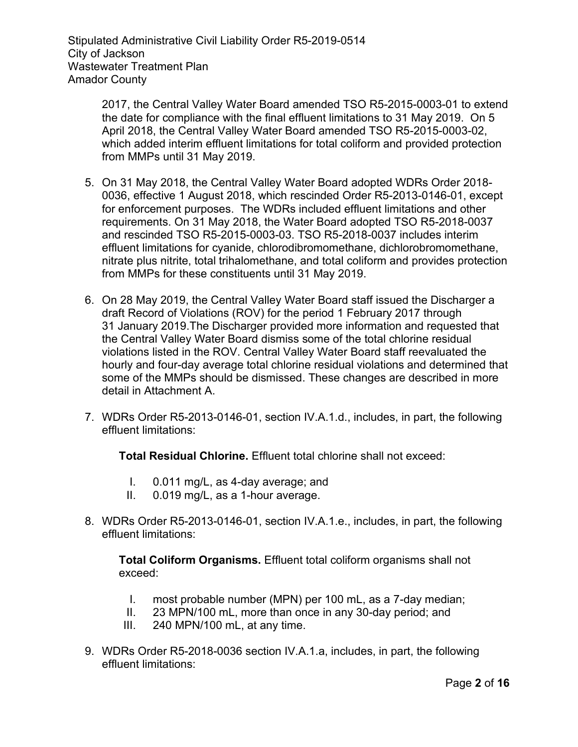> 2017, the Central Valley Water Board amended TSO R5-2015-0003-01 to extend the date for compliance with the final effluent limitations to 31 May 2019. On 5 April 2018, the Central Valley Water Board amended TSO R5-2015-0003-02, which added interim effluent limitations for total coliform and provided protection from MMPs until 31 May 2019.

- 5. On 31 May 2018, the Central Valley Water Board adopted WDRs Order 2018- 0036, effective 1 August 2018, which rescinded Order R5-2013-0146-01, except for enforcement purposes. The WDRs included effluent limitations and other requirements. On 31 May 2018, the Water Board adopted TSO R5-2018-0037 and rescinded TSO R5-2015-0003-03. TSO R5-2018-0037 includes interim effluent limitations for cyanide, chlorodibromomethane, dichlorobromomethane, nitrate plus nitrite, total trihalomethane, and total coliform and provides protection from MMPs for these constituents until 31 May 2019.
- 6. On 28 May 2019, the Central Valley Water Board staff issued the Discharger a draft Record of Violations (ROV) for the period 1 February 2017 through 31 January 2019.The Discharger provided more information and requested that the Central Valley Water Board dismiss some of the total chlorine residual violations listed in the ROV. Central Valley Water Board staff reevaluated the hourly and four-day average total chlorine residual violations and determined that some of the MMPs should be dismissed. These changes are described in more detail in Attachment A.
- 7. WDRs Order R5-2013-0146-01, section IV.A.1.d., includes, in part, the following effluent limitations:

**Total Residual Chlorine.** Effluent total chlorine shall not exceed:

- I. 0.011 mg/L, as 4-day average; and
- II. 0.019 mg/L, as a 1-hour average.
- 8. WDRs Order R5-2013-0146-01, section IV.A.1.e., includes, in part, the following effluent limitations:

**Total Coliform Organisms.** Effluent total coliform organisms shall not exceed:

- I. most probable number (MPN) per 100 mL, as a 7-day median;
- II. 23 MPN/100 mL, more than once in any 30-day period; and
- III. 240 MPN/100 mL, at any time.
- 9. WDRs Order R5-2018-0036 section IV.A.1.a, includes, in part, the following effluent limitations: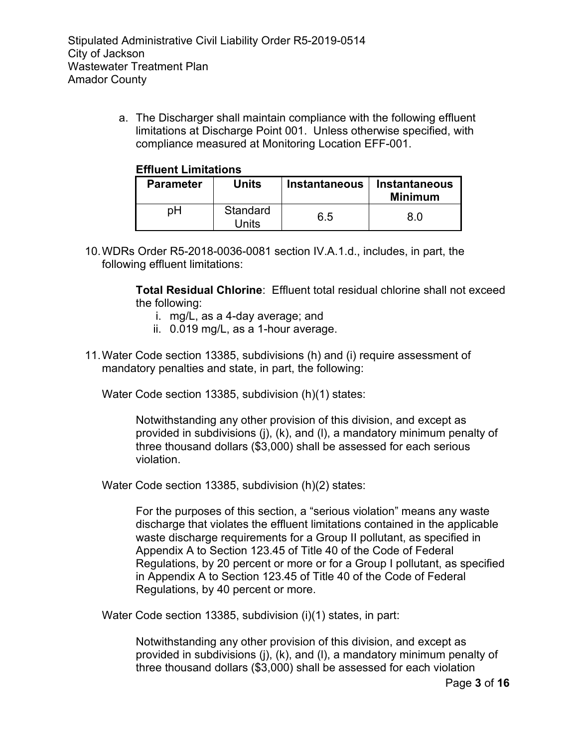a. The Discharger shall maintain compliance with the following effluent limitations at Discharge Point 001. Unless otherwise specified, with compliance measured at Monitoring Location EFF-001.

### **Effluent Limitations**

| <b>Parameter</b> | Units             | <b>Instantaneous</b> | <b>Instantaneous</b><br><b>Minimum</b> |
|------------------|-------------------|----------------------|----------------------------------------|
| pН               | Standard<br>Units | 6.5                  | 8 N                                    |

10.WDRs Order R5-2018-0036-0081 section IV.A.1.d., includes, in part, the following effluent limitations:

> **Total Residual Chlorine**: Effluent total residual chlorine shall not exceed the following:

- i. mg/L, as a 4-day average; and
- ii. 0.019 mg/L, as a 1-hour average.
- 11.Water Code section 13385, subdivisions (h) and (i) require assessment of mandatory penalties and state, in part, the following:

Water Code section 13385, subdivision (h)(1) states:

Notwithstanding any other provision of this division, and except as provided in subdivisions (j), (k), and (l), a mandatory minimum penalty of three thousand dollars (\$3,000) shall be assessed for each serious violation.

Water Code section 13385, subdivision (h)(2) states:

For the purposes of this section, a "serious violation" means any waste discharge that violates the effluent limitations contained in the applicable waste discharge requirements for a Group II pollutant, as specified in Appendix A to Section 123.45 of Title 40 of the Code of Federal Regulations, by 20 percent or more or for a Group I pollutant, as specified in Appendix A to Section 123.45 of Title 40 of the Code of Federal Regulations, by 40 percent or more.

Water Code section 13385, subdivision (i)(1) states, in part:

Notwithstanding any other provision of this division, and except as provided in subdivisions (j), (k), and (l), a mandatory minimum penalty of three thousand dollars (\$3,000) shall be assessed for each violation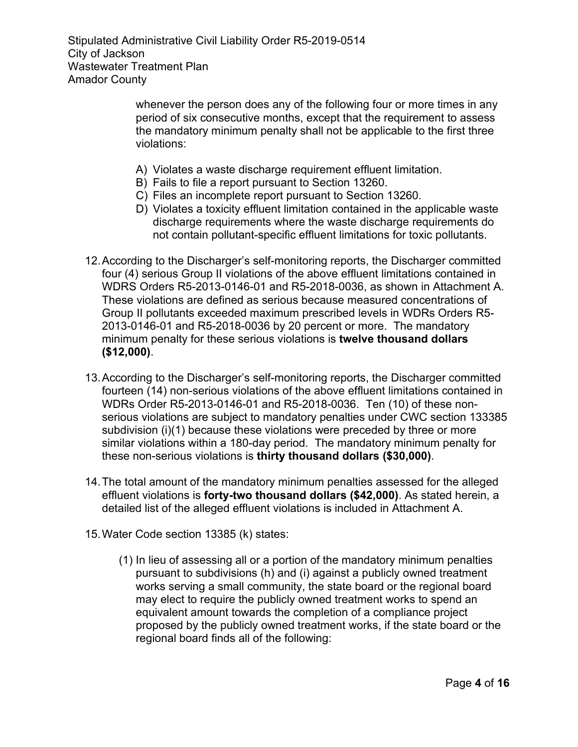> whenever the person does any of the following four or more times in any period of six consecutive months, except that the requirement to assess the mandatory minimum penalty shall not be applicable to the first three violations:

- A) Violates a waste discharge requirement effluent limitation.
- B) Fails to file a report pursuant to Section 13260.
- C) Files an incomplete report pursuant to Section 13260.
- D) Violates a toxicity effluent limitation contained in the applicable waste discharge requirements where the waste discharge requirements do not contain pollutant-specific effluent limitations for toxic pollutants.
- 12.According to the Discharger's self-monitoring reports, the Discharger committed four (4) serious Group II violations of the above effluent limitations contained in WDRS Orders R5-2013-0146-01 and R5-2018-0036, as shown in Attachment A. These violations are defined as serious because measured concentrations of Group II pollutants exceeded maximum prescribed levels in WDRs Orders R5- 2013-0146-01 and R5-2018-0036 by 20 percent or more. The mandatory minimum penalty for these serious violations is **twelve thousand dollars (\$12,000)**.
- 13.According to the Discharger's self-monitoring reports, the Discharger committed fourteen (14) non-serious violations of the above effluent limitations contained in WDRs Order R5-2013-0146-01 and R5-2018-0036. Ten (10) of these nonserious violations are subject to mandatory penalties under CWC section 133385 subdivision (i)(1) because these violations were preceded by three or more similar violations within a 180-day period. The mandatory minimum penalty for these non-serious violations is **thirty thousand dollars (\$30,000)**.
- 14.The total amount of the mandatory minimum penalties assessed for the alleged effluent violations is **forty-two thousand dollars (\$42,000)**. As stated herein, a detailed list of the alleged effluent violations is included in Attachment A.
- 15.Water Code section 13385 (k) states:
	- (1) In lieu of assessing all or a portion of the mandatory minimum penalties pursuant to subdivisions (h) and (i) against a publicly owned treatment works serving a small community, the state board or the regional board may elect to require the publicly owned treatment works to spend an equivalent amount towards the completion of a compliance project proposed by the publicly owned treatment works, if the state board or the regional board finds all of the following: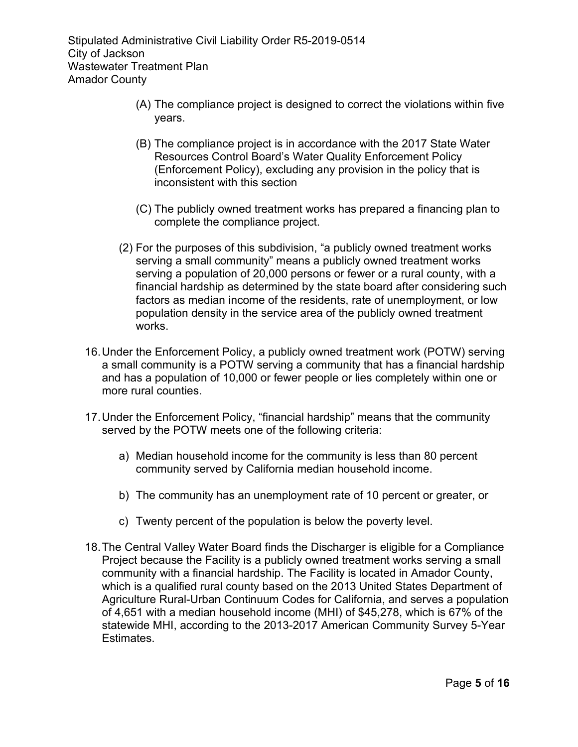- (A) The compliance project is designed to correct the violations within five years.
- (B) The compliance project is in accordance with the 2017 State Water Resources Control Board's Water Quality Enforcement Policy (Enforcement Policy), excluding any provision in the policy that is inconsistent with this section
- (C) The publicly owned treatment works has prepared a financing plan to complete the compliance project.
- (2) For the purposes of this subdivision, "a publicly owned treatment works serving a small community" means a publicly owned treatment works serving a population of 20,000 persons or fewer or a rural county, with a financial hardship as determined by the state board after considering such factors as median income of the residents, rate of unemployment, or low population density in the service area of the publicly owned treatment works.
- 16.Under the Enforcement Policy, a publicly owned treatment work (POTW) serving a small community is a POTW serving a community that has a financial hardship and has a population of 10,000 or fewer people or lies completely within one or more rural counties.
- 17.Under the Enforcement Policy, "financial hardship" means that the community served by the POTW meets one of the following criteria:
	- a) Median household income for the community is less than 80 percent community served by California median household income.
	- b) The community has an unemployment rate of 10 percent or greater, or
	- c) Twenty percent of the population is below the poverty level.
- 18.The Central Valley Water Board finds the Discharger is eligible for a Compliance Project because the Facility is a publicly owned treatment works serving a small community with a financial hardship. The Facility is located in Amador County, which is a qualified rural county based on the 2013 United States Department of Agriculture Rural-Urban Continuum Codes for California, and serves a population of 4,651 with a median household income (MHI) of \$45,278, which is 67% of the statewide MHI, according to the 2013-2017 American Community Survey 5-Year Estimates.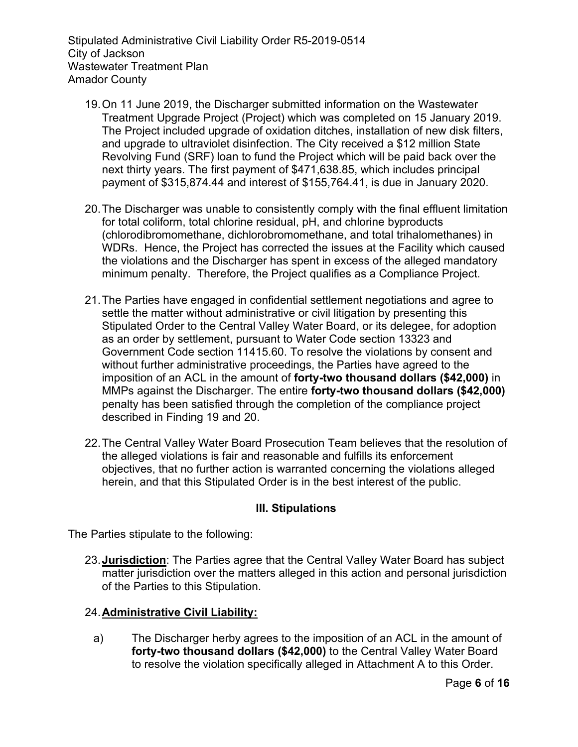- 19.On 11 June 2019, the Discharger submitted information on the Wastewater Treatment Upgrade Project (Project) which was completed on 15 January 2019. The Project included upgrade of oxidation ditches, installation of new disk filters, and upgrade to ultraviolet disinfection. The City received a \$12 million State Revolving Fund (SRF) loan to fund the Project which will be paid back over the next thirty years. The first payment of \$471,638.85, which includes principal payment of \$315,874.44 and interest of \$155,764.41, is due in January 2020.
- 20.The Discharger was unable to consistently comply with the final effluent limitation for total coliform, total chlorine residual, pH, and chlorine byproducts (chlorodibromomethane, dichlorobromomethane, and total trihalomethanes) in WDRs. Hence, the Project has corrected the issues at the Facility which caused the violations and the Discharger has spent in excess of the alleged mandatory minimum penalty. Therefore, the Project qualifies as a Compliance Project.
- 21.The Parties have engaged in confidential settlement negotiations and agree to settle the matter without administrative or civil litigation by presenting this Stipulated Order to the Central Valley Water Board, or its delegee, for adoption as an order by settlement, pursuant to Water Code section 13323 and Government Code section 11415.60. To resolve the violations by consent and without further administrative proceedings, the Parties have agreed to the imposition of an ACL in the amount of **forty-two thousand dollars (\$42,000)** in MMPs against the Discharger. The entire **forty-two thousand dollars (\$42,000)** penalty has been satisfied through the completion of the compliance project described in Finding 19 and 20.
- 22.The Central Valley Water Board Prosecution Team believes that the resolution of the alleged violations is fair and reasonable and fulfills its enforcement objectives, that no further action is warranted concerning the violations alleged herein, and that this Stipulated Order is in the best interest of the public.

### **III. Stipulations**

The Parties stipulate to the following:

23.**Jurisdiction**: The Parties agree that the Central Valley Water Board has subject matter jurisdiction over the matters alleged in this action and personal jurisdiction of the Parties to this Stipulation.

# 24.**Administrative Civil Liability:**

a) The Discharger herby agrees to the imposition of an ACL in the amount of **forty-two thousand dollars (\$42,000)** to the Central Valley Water Board to resolve the violation specifically alleged in Attachment A to this Order.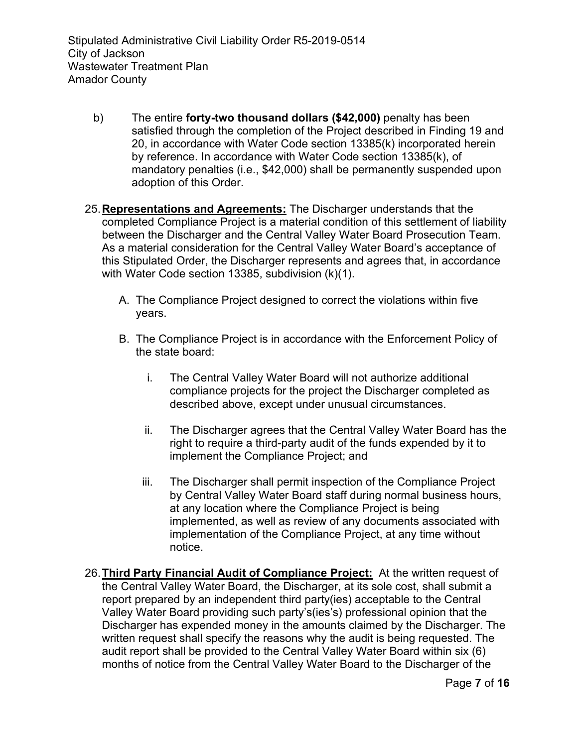- b) The entire **forty-two thousand dollars (\$42,000)** penalty has been satisfied through the completion of the Project described in Finding 19 and 20, in accordance with Water Code section 13385(k) incorporated herein by reference. In accordance with Water Code section 13385(k), of mandatory penalties (i.e., \$42,000) shall be permanently suspended upon adoption of this Order.
- 25.**Representations and Agreements:** The Discharger understands that the completed Compliance Project is a material condition of this settlement of liability between the Discharger and the Central Valley Water Board Prosecution Team. As a material consideration for the Central Valley Water Board's acceptance of this Stipulated Order, the Discharger represents and agrees that, in accordance with Water Code section 13385, subdivision (k)(1).
	- A. The Compliance Project designed to correct the violations within five years.
	- B. The Compliance Project is in accordance with the Enforcement Policy of the state board:
		- i. The Central Valley Water Board will not authorize additional compliance projects for the project the Discharger completed as described above, except under unusual circumstances.
		- ii. The Discharger agrees that the Central Valley Water Board has the right to require a third-party audit of the funds expended by it to implement the Compliance Project; and
		- iii. The Discharger shall permit inspection of the Compliance Project by Central Valley Water Board staff during normal business hours, at any location where the Compliance Project is being implemented, as well as review of any documents associated with implementation of the Compliance Project, at any time without notice.
- 26.**Third Party Financial Audit of Compliance Project:** At the written request of the Central Valley Water Board, the Discharger, at its sole cost, shall submit a report prepared by an independent third party(ies) acceptable to the Central Valley Water Board providing such party's(ies's) professional opinion that the Discharger has expended money in the amounts claimed by the Discharger. The written request shall specify the reasons why the audit is being requested. The audit report shall be provided to the Central Valley Water Board within six (6) months of notice from the Central Valley Water Board to the Discharger of the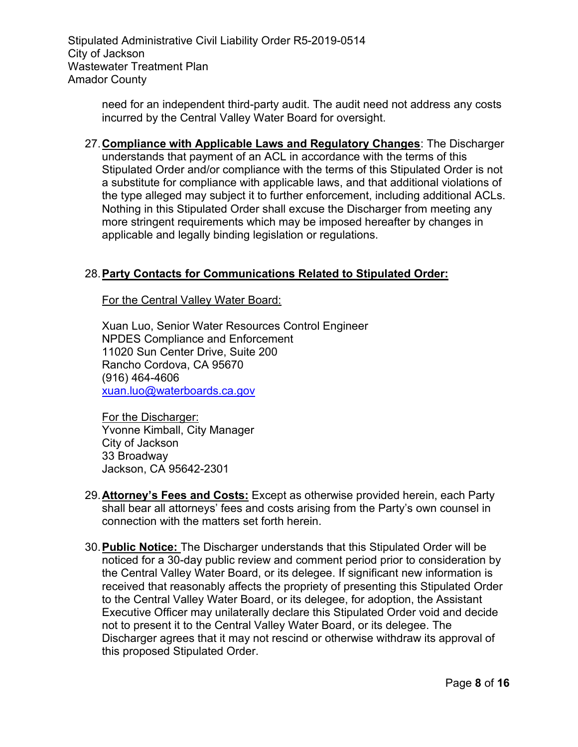> need for an independent third-party audit. The audit need not address any costs incurred by the Central Valley Water Board for oversight.

27.**Compliance with Applicable Laws and Regulatory Changes**: The Discharger understands that payment of an ACL in accordance with the terms of this Stipulated Order and/or compliance with the terms of this Stipulated Order is not a substitute for compliance with applicable laws, and that additional violations of the type alleged may subject it to further enforcement, including additional ACLs. Nothing in this Stipulated Order shall excuse the Discharger from meeting any more stringent requirements which may be imposed hereafter by changes in applicable and legally binding legislation or regulations.

# 28.**Party Contacts for Communications Related to Stipulated Order:**

For the Central Valley Water Board:

Xuan Luo, Senior Water Resources Control Engineer NPDES Compliance and Enforcement 11020 Sun Center Drive, Suite 200 Rancho Cordova, CA 95670 (916) 464-4606 [xuan.luo@waterboards.ca.gov](mailto:xuan.luo@waterboards.ca.gov)

For the Discharger: Yvonne Kimball, City Manager City of Jackson 33 Broadway Jackson, CA 95642-2301

- 29.**Attorney's Fees and Costs:** Except as otherwise provided herein, each Party shall bear all attorneys' fees and costs arising from the Party's own counsel in connection with the matters set forth herein.
- 30.**Public Notice:** The Discharger understands that this Stipulated Order will be noticed for a 30-day public review and comment period prior to consideration by the Central Valley Water Board, or its delegee. If significant new information is received that reasonably affects the propriety of presenting this Stipulated Order to the Central Valley Water Board, or its delegee, for adoption, the Assistant Executive Officer may unilaterally declare this Stipulated Order void and decide not to present it to the Central Valley Water Board, or its delegee. The Discharger agrees that it may not rescind or otherwise withdraw its approval of this proposed Stipulated Order.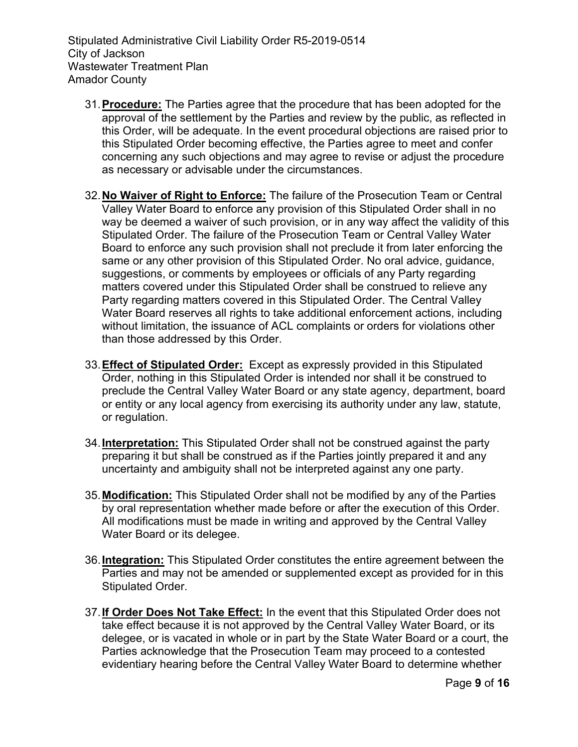- 31.**Procedure:** The Parties agree that the procedure that has been adopted for the approval of the settlement by the Parties and review by the public, as reflected in this Order, will be adequate. In the event procedural objections are raised prior to this Stipulated Order becoming effective, the Parties agree to meet and confer concerning any such objections and may agree to revise or adjust the procedure as necessary or advisable under the circumstances.
- 32.**No Waiver of Right to Enforce:** The failure of the Prosecution Team or Central Valley Water Board to enforce any provision of this Stipulated Order shall in no way be deemed a waiver of such provision, or in any way affect the validity of this Stipulated Order. The failure of the Prosecution Team or Central Valley Water Board to enforce any such provision shall not preclude it from later enforcing the same or any other provision of this Stipulated Order. No oral advice, guidance, suggestions, or comments by employees or officials of any Party regarding matters covered under this Stipulated Order shall be construed to relieve any Party regarding matters covered in this Stipulated Order. The Central Valley Water Board reserves all rights to take additional enforcement actions, including without limitation, the issuance of ACL complaints or orders for violations other than those addressed by this Order.
- 33.**Effect of Stipulated Order:** Except as expressly provided in this Stipulated Order, nothing in this Stipulated Order is intended nor shall it be construed to preclude the Central Valley Water Board or any state agency, department, board or entity or any local agency from exercising its authority under any law, statute, or regulation.
- 34.**Interpretation:** This Stipulated Order shall not be construed against the party preparing it but shall be construed as if the Parties jointly prepared it and any uncertainty and ambiguity shall not be interpreted against any one party.
- 35.**Modification:** This Stipulated Order shall not be modified by any of the Parties by oral representation whether made before or after the execution of this Order. All modifications must be made in writing and approved by the Central Valley Water Board or its delegee.
- 36.**Integration:** This Stipulated Order constitutes the entire agreement between the Parties and may not be amended or supplemented except as provided for in this Stipulated Order.
- 37.**If Order Does Not Take Effect:** In the event that this Stipulated Order does not take effect because it is not approved by the Central Valley Water Board, or its delegee, or is vacated in whole or in part by the State Water Board or a court, the Parties acknowledge that the Prosecution Team may proceed to a contested evidentiary hearing before the Central Valley Water Board to determine whether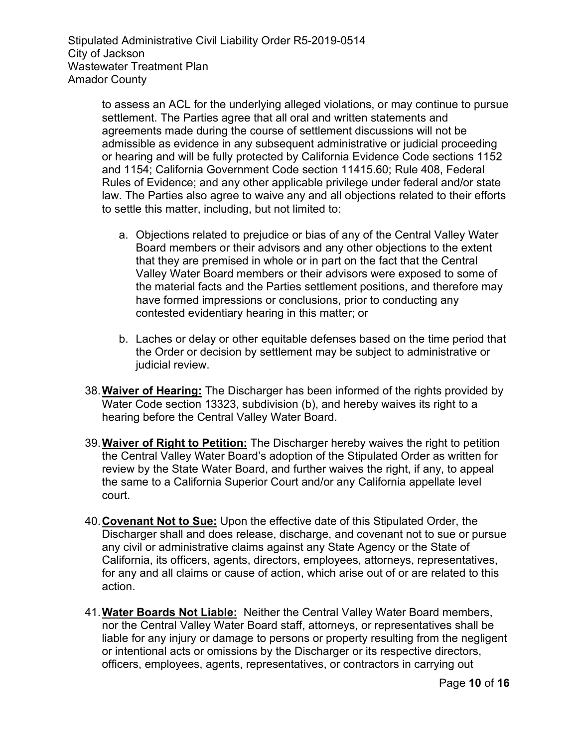> to assess an ACL for the underlying alleged violations, or may continue to pursue settlement. The Parties agree that all oral and written statements and agreements made during the course of settlement discussions will not be admissible as evidence in any subsequent administrative or judicial proceeding or hearing and will be fully protected by California Evidence Code sections 1152 and 1154; California Government Code section 11415.60; Rule 408, Federal Rules of Evidence; and any other applicable privilege under federal and/or state law. The Parties also agree to waive any and all objections related to their efforts to settle this matter, including, but not limited to:

- a. Objections related to prejudice or bias of any of the Central Valley Water Board members or their advisors and any other objections to the extent that they are premised in whole or in part on the fact that the Central Valley Water Board members or their advisors were exposed to some of the material facts and the Parties settlement positions, and therefore may have formed impressions or conclusions, prior to conducting any contested evidentiary hearing in this matter; or
- b. Laches or delay or other equitable defenses based on the time period that the Order or decision by settlement may be subject to administrative or judicial review.
- 38.**Waiver of Hearing:** The Discharger has been informed of the rights provided by Water Code section 13323, subdivision (b), and hereby waives its right to a hearing before the Central Valley Water Board.
- 39.**Waiver of Right to Petition:** The Discharger hereby waives the right to petition the Central Valley Water Board's adoption of the Stipulated Order as written for review by the State Water Board, and further waives the right, if any, to appeal the same to a California Superior Court and/or any California appellate level court.
- 40.**Covenant Not to Sue:** Upon the effective date of this Stipulated Order, the Discharger shall and does release, discharge, and covenant not to sue or pursue any civil or administrative claims against any State Agency or the State of California, its officers, agents, directors, employees, attorneys, representatives, for any and all claims or cause of action, which arise out of or are related to this action.
- 41.**Water Boards Not Liable:** Neither the Central Valley Water Board members, nor the Central Valley Water Board staff, attorneys, or representatives shall be liable for any injury or damage to persons or property resulting from the negligent or intentional acts or omissions by the Discharger or its respective directors, officers, employees, agents, representatives, or contractors in carrying out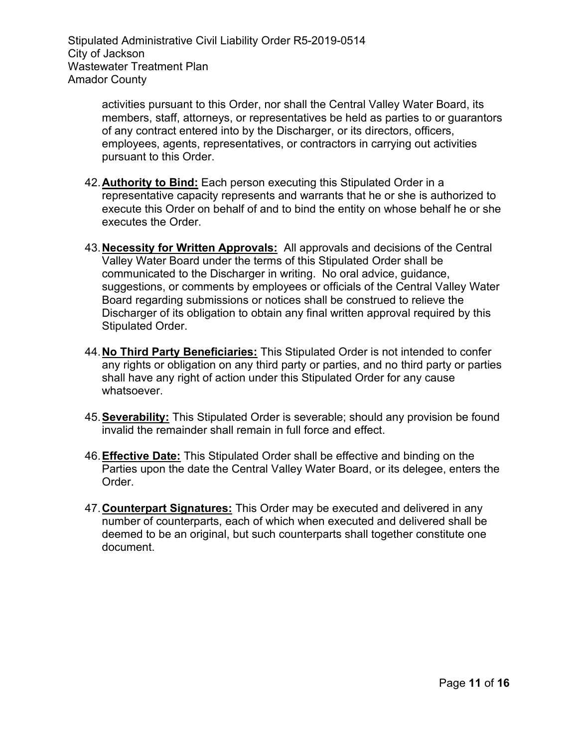> activities pursuant to this Order, nor shall the Central Valley Water Board, its members, staff, attorneys, or representatives be held as parties to or guarantors of any contract entered into by the Discharger, or its directors, officers, employees, agents, representatives, or contractors in carrying out activities pursuant to this Order.

- 42.**Authority to Bind:** Each person executing this Stipulated Order in a representative capacity represents and warrants that he or she is authorized to execute this Order on behalf of and to bind the entity on whose behalf he or she executes the Order.
- 43.**Necessity for Written Approvals:** All approvals and decisions of the Central Valley Water Board under the terms of this Stipulated Order shall be communicated to the Discharger in writing. No oral advice, guidance, suggestions, or comments by employees or officials of the Central Valley Water Board regarding submissions or notices shall be construed to relieve the Discharger of its obligation to obtain any final written approval required by this Stipulated Order.
- 44.**No Third Party Beneficiaries:** This Stipulated Order is not intended to confer any rights or obligation on any third party or parties, and no third party or parties shall have any right of action under this Stipulated Order for any cause whatsoever.
- 45.**Severability:** This Stipulated Order is severable; should any provision be found invalid the remainder shall remain in full force and effect.
- 46.**Effective Date:** This Stipulated Order shall be effective and binding on the Parties upon the date the Central Valley Water Board, or its delegee, enters the Order.
- 47.**Counterpart Signatures:** This Order may be executed and delivered in any number of counterparts, each of which when executed and delivered shall be deemed to be an original, but such counterparts shall together constitute one document.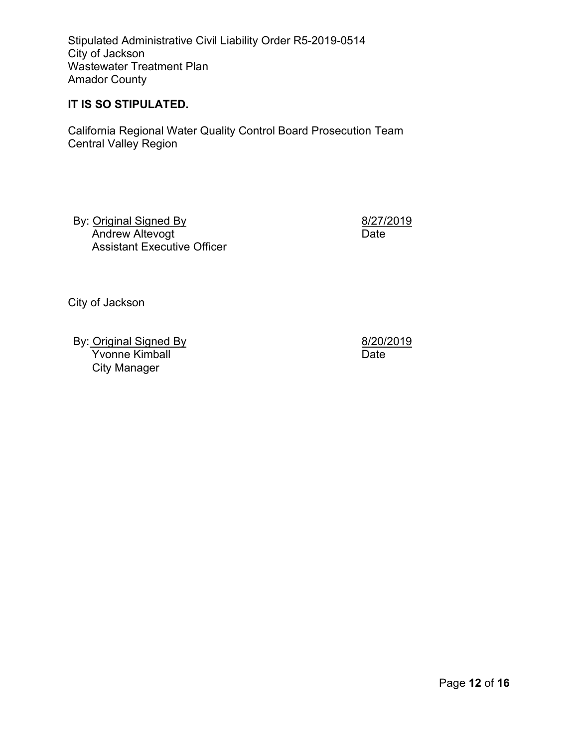#### **IT IS SO STIPULATED.**

California Regional Water Quality Control Board Prosecution Team Central Valley Region

By: Original Signed By Andrew Altevogt Assistant Executive Officer 8/27/2019 Date

City of Jackson

By: Original Signed By Yvonne Kimball City Manager

8/20/2019 Date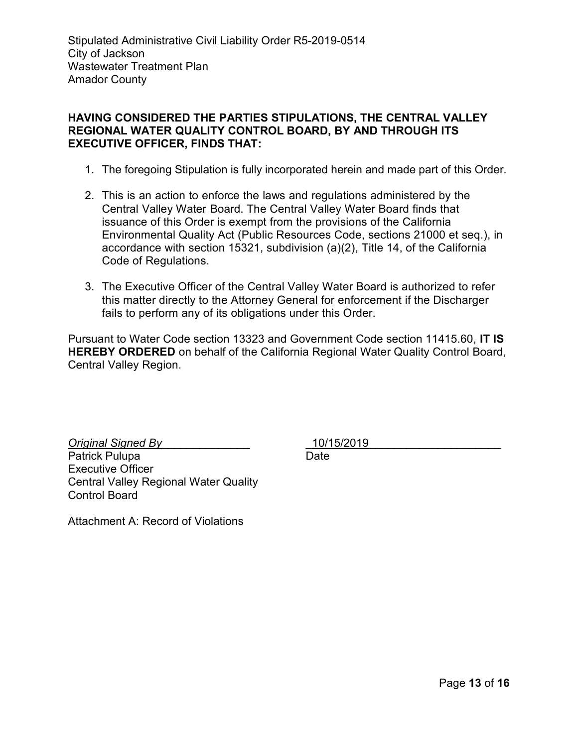# **HAVING CONSIDERED THE PARTIES STIPULATIONS, THE CENTRAL VALLEY REGIONAL WATER QUALITY CONTROL BOARD, BY AND THROUGH ITS EXECUTIVE OFFICER, FINDS THAT:**

- 1. The foregoing Stipulation is fully incorporated herein and made part of this Order.
- 2. This is an action to enforce the laws and regulations administered by the Central Valley Water Board. The Central Valley Water Board finds that issuance of this Order is exempt from the provisions of the California Environmental Quality Act (Public Resources Code, sections 21000 et seq.), in accordance with section 15321, subdivision (a)(2), Title 14, of the California Code of Regulations.
- 3. The Executive Officer of the Central Valley Water Board is authorized to refer this matter directly to the Attorney General for enforcement if the Discharger fails to perform any of its obligations under this Order.

Pursuant to Water Code section 13323 and Government Code section 11415.60, **IT IS HEREBY ORDERED** on behalf of the California Regional Water Quality Control Board, Central Valley Region.

*Original Signed By*\_\_\_\_\_\_\_\_\_\_\_\_\_\_ Patrick Pulupa Executive Officer Central Valley Regional Water Quality Control Board

\_10/15/2019\_\_\_\_\_\_\_\_\_\_\_\_\_\_\_\_\_\_\_\_\_ Date

Attachment A: Record of Violations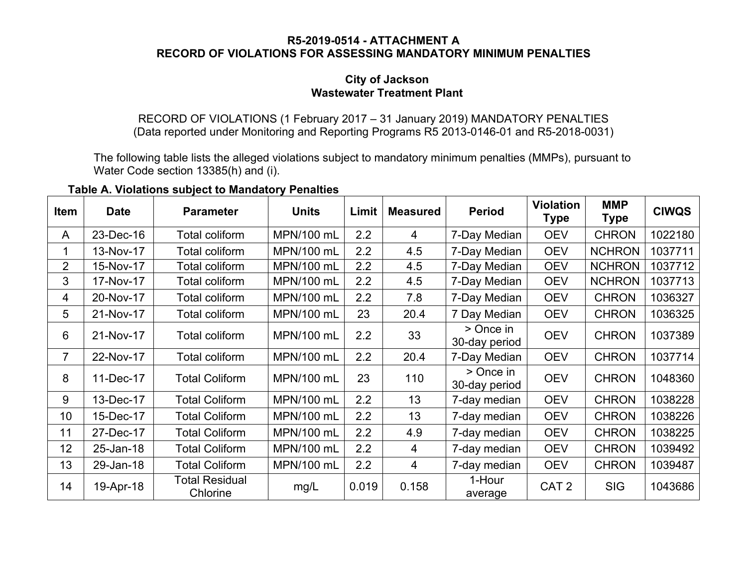#### **R5-2019-0514 - ATTACHMENT A RECORD OF VIOLATIONS FOR ASSESSING MANDATORY MINIMUM PENALTIES**

### **City of Jackson Wastewater Treatment Plant**

RECORD OF VIOLATIONS (1 February 2017 – 31 January 2019) MANDATORY PENALTIES (Data reported under Monitoring and Reporting Programs R5 2013-0146-01 and R5-2018-0031)

The following table lists the alleged violations subject to mandatory minimum penalties (MMPs), pursuant to Water Code section 13385(h) and (i).

**Table A. Violations subject to Mandatory Penalties**

| <b>Item</b>    | <b>Date</b> | <b>Parameter</b>                  | <b>Units</b> | Limit | <b>Measured</b> | <b>Period</b>              | <b>Violation</b><br><b>Type</b> | <b>MMP</b><br>Type | <b>CIWQS</b> |
|----------------|-------------|-----------------------------------|--------------|-------|-----------------|----------------------------|---------------------------------|--------------------|--------------|
| A              | 23-Dec-16   | Total coliform                    | MPN/100 mL   | 2.2   | 4               | 7-Day Median               | <b>OEV</b>                      | <b>CHRON</b>       | 1022180      |
|                | 13-Nov-17   | Total coliform                    | MPN/100 mL   | 2.2   | 4.5             | 7-Day Median               | <b>OEV</b>                      | <b>NCHRON</b>      | 1037711      |
| $\overline{2}$ | 15-Nov-17   | Total coliform                    | MPN/100 mL   | 2.2   | 4.5             | 7-Day Median               | <b>OEV</b>                      | <b>NCHRON</b>      | 1037712      |
| 3              | 17-Nov-17   | <b>Total coliform</b>             | MPN/100 mL   | 2.2   | 4.5             | 7-Day Median               | <b>OEV</b>                      | <b>NCHRON</b>      | 1037713      |
| 4              | 20-Nov-17   | Total coliform                    | MPN/100 mL   | 2.2   | 7.8             | 7-Day Median               | <b>OEV</b>                      | <b>CHRON</b>       | 1036327      |
| 5              | 21-Nov-17   | Total coliform                    | MPN/100 mL   | 23    | 20.4            | 7 Day Median               | <b>OEV</b>                      | <b>CHRON</b>       | 1036325      |
| 6              | 21-Nov-17   | Total coliform                    | MPN/100 mL   | 2.2   | 33              | > Once in<br>30-day period | <b>OEV</b>                      | <b>CHRON</b>       | 1037389      |
| 7              | 22-Nov-17   | Total coliform                    | MPN/100 mL   | 2.2   | 20.4            | 7-Day Median               | <b>OEV</b>                      | <b>CHRON</b>       | 1037714      |
| 8              | 11-Dec-17   | <b>Total Coliform</b>             | MPN/100 mL   | 23    | 110             | > Once in<br>30-day period | <b>OEV</b>                      | <b>CHRON</b>       | 1048360      |
| 9              | 13-Dec-17   | <b>Total Coliform</b>             | MPN/100 mL   | 2.2   | 13              | 7-day median               | <b>OEV</b>                      | <b>CHRON</b>       | 1038228      |
| 10             | 15-Dec-17   | <b>Total Coliform</b>             | MPN/100 mL   | 2.2   | 13              | 7-day median               | <b>OEV</b>                      | <b>CHRON</b>       | 1038226      |
| 11             | 27-Dec-17   | <b>Total Coliform</b>             | MPN/100 mL   | 2.2   | 4.9             | 7-day median               | <b>OEV</b>                      | <b>CHRON</b>       | 1038225      |
| 12             | 25-Jan-18   | <b>Total Coliform</b>             | MPN/100 mL   | 2.2   | 4               | 7-day median               | <b>OEV</b>                      | <b>CHRON</b>       | 1039492      |
| 13             | 29-Jan-18   | <b>Total Coliform</b>             | MPN/100 mL   | 2.2   | 4               | 7-day median               | <b>OEV</b>                      | <b>CHRON</b>       | 1039487      |
| 14             | 19-Apr-18   | <b>Total Residual</b><br>Chlorine | mg/L         | 0.019 | 0.158           | 1-Hour<br>average          | CAT <sub>2</sub>                | <b>SIG</b>         | 1043686      |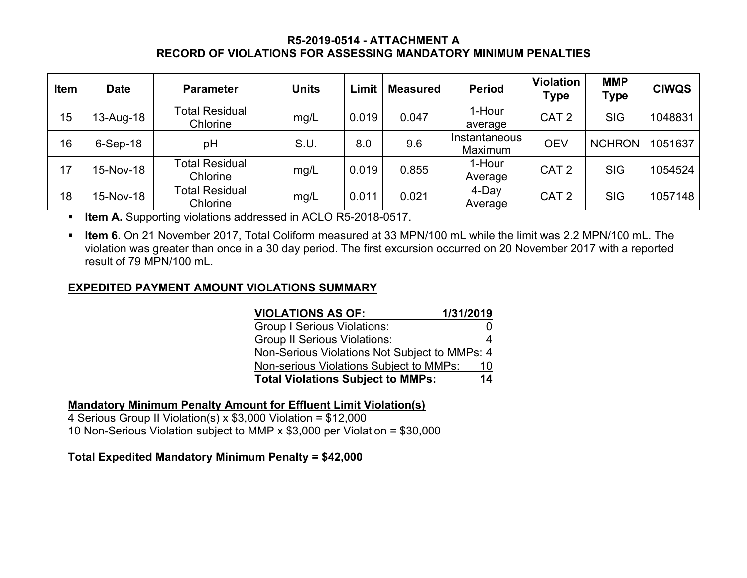# **R5-2019-0514 - ATTACHMENT A RECORD OF VIOLATIONS FOR ASSESSING MANDATORY MINIMUM PENALTIES**

| <b>Item</b> | <b>Date</b> | <b>Parameter</b>                  | <b>Units</b> | Limit | <b>Measured</b> | <b>Period</b>            | <b>Violation</b><br><b>Type</b> | <b>MMP</b><br><b>Type</b> | <b>CIWQS</b> |
|-------------|-------------|-----------------------------------|--------------|-------|-----------------|--------------------------|---------------------------------|---------------------------|--------------|
| 15          | 13-Aug-18   | <b>Total Residual</b><br>Chlorine | mg/L         | 0.019 | 0.047           | 1-Hour<br>average        | CAT <sub>2</sub>                | <b>SIG</b>                | 1048831      |
| 16          | $6-Sep-18$  | pH                                | S.U.         | 8.0   | 9.6             | Instantaneous<br>Maximum | <b>OEV</b>                      | <b>NCHRON</b>             | 1051637      |
| 17          | 15-Nov-18   | <b>Total Residual</b><br>Chlorine | mg/L         | 0.019 | 0.855           | 1-Hour<br>Average        | CAT <sub>2</sub>                | <b>SIG</b>                | 1054524      |
| 18          | 15-Nov-18   | <b>Total Residual</b><br>Chlorine | mg/L         | 0.011 | 0.021           | 4-Day<br>Average         | CAT <sub>2</sub>                | <b>SIG</b>                | 1057148      |

**E** Item A. Supporting violations addressed in ACLO R5-2018-0517.

§ **Item 6.** On 21 November 2017, Total Coliform measured at 33 MPN/100 mL while the limit was 2.2 MPN/100 mL. The violation was greater than once in a 30 day period. The first excursion occurred on 20 November 2017 with a reported result of 79 MPN/100 mL.

# **EXPEDITED PAYMENT AMOUNT VIOLATIONS SUMMARY**

| <b>VIOLATIONS AS OF:</b>                      | 1/31/2019 |
|-----------------------------------------------|-----------|
| <b>Group I Serious Violations:</b>            |           |
| <b>Group II Serious Violations:</b>           | 4         |
| Non-Serious Violations Not Subject to MMPs: 4 |           |
| Non-serious Violations Subject to MMPs:       | 10        |
| <b>Total Violations Subject to MMPs:</b>      | 14        |

# **Mandatory Minimum Penalty Amount for Effluent Limit Violation(s)**

4 Serious Group II Violation(s) x \$3,000 Violation = \$12,000 10 Non-Serious Violation subject to MMP x \$3,000 per Violation = \$30,000

# **Total Expedited Mandatory Minimum Penalty = \$42,000**